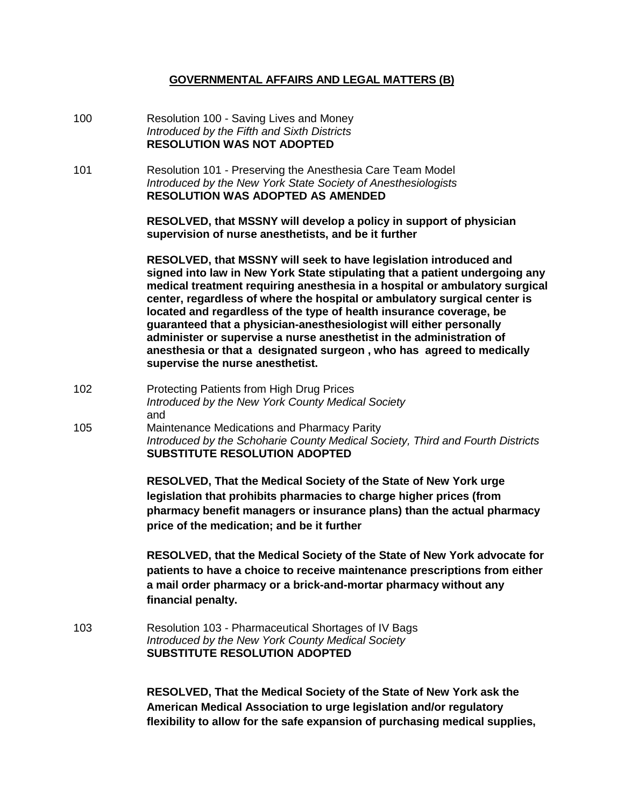### **GOVERNMENTAL AFFAIRS AND LEGAL MATTERS (B)**

- 100 Resolution 100 Saving Lives and Money *Introduced by the Fifth and Sixth Districts* **RESOLUTION WAS NOT ADOPTED**
- 101 Resolution 101 Preserving the Anesthesia Care Team Model *Introduced by the New York State Society of Anesthesiologists* **RESOLUTION WAS ADOPTED AS AMENDED**

**RESOLVED, that MSSNY will develop a policy in support of physician supervision of nurse anesthetists, and be it further**

**RESOLVED, that MSSNY will seek to have legislation introduced and signed into law in New York State stipulating that a patient undergoing any medical treatment requiring anesthesia in a hospital or ambulatory surgical center, regardless of where the hospital or ambulatory surgical center is located and regardless of the type of health insurance coverage, be guaranteed that a physician-anesthesiologist will either personally administer or supervise a nurse anesthetist in the administration of anesthesia or that a designated surgeon , who has agreed to medically supervise the nurse anesthetist.** 

- 102 Protecting Patients from High Drug Prices *Introduced by the New York County Medical Society* and
- 105 Maintenance Medications and Pharmacy Parity *Introduced by the Schoharie County Medical Society, Third and Fourth Districts* **SUBSTITUTE RESOLUTION ADOPTED**

**RESOLVED, That the Medical Society of the State of New York urge legislation that prohibits pharmacies to charge higher prices (from pharmacy benefit managers or insurance plans) than the actual pharmacy price of the medication; and be it further**

**RESOLVED, that the Medical Society of the State of New York advocate for patients to have a choice to receive maintenance prescriptions from either a mail order pharmacy or a brick-and-mortar pharmacy without any financial penalty.**

103 Resolution 103 - Pharmaceutical Shortages of IV Bags *Introduced by the New York County Medical Society* **SUBSTITUTE RESOLUTION ADOPTED** 

> **RESOLVED, That the Medical Society of the State of New York ask the American Medical Association to urge legislation and/or regulatory flexibility to allow for the safe expansion of purchasing medical supplies,**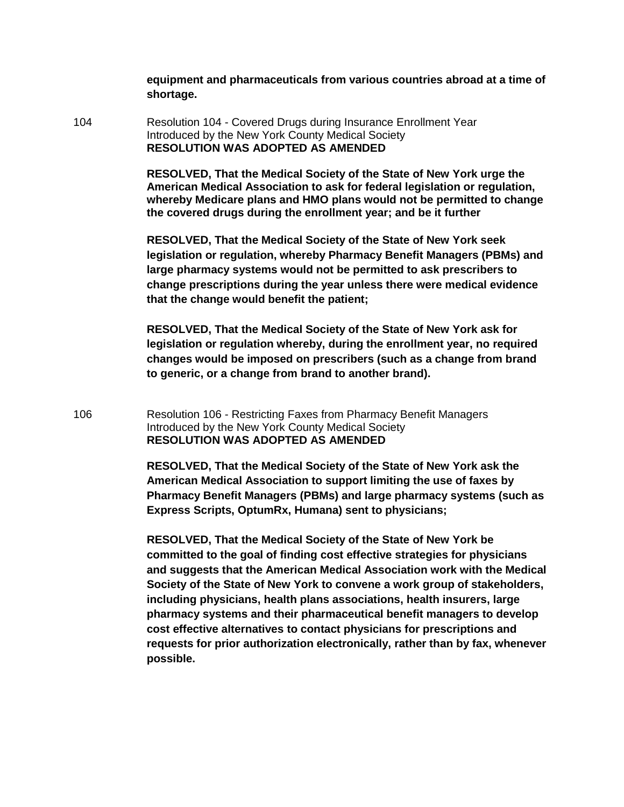**equipment and pharmaceuticals from various countries abroad at a time of shortage.**

104 Resolution 104 - Covered Drugs during Insurance Enrollment Year Introduced by the New York County Medical Society **RESOLUTION WAS ADOPTED AS AMENDED**

> **RESOLVED, That the Medical Society of the State of New York urge the American Medical Association to ask for federal legislation or regulation, whereby Medicare plans and HMO plans would not be permitted to change the covered drugs during the enrollment year; and be it further**

> **RESOLVED, That the Medical Society of the State of New York seek legislation or regulation, whereby Pharmacy Benefit Managers (PBMs) and large pharmacy systems would not be permitted to ask prescribers to change prescriptions during the year unless there were medical evidence that the change would benefit the patient;**

**RESOLVED, That the Medical Society of the State of New York ask for legislation or regulation whereby, during the enrollment year, no required changes would be imposed on prescribers (such as a change from brand to generic, or a change from brand to another brand).**

106 Resolution 106 - Restricting Faxes from Pharmacy Benefit Managers Introduced by the New York County Medical Society **RESOLUTION WAS ADOPTED AS AMENDED**

> **RESOLVED, That the Medical Society of the State of New York ask the American Medical Association to support limiting the use of faxes by Pharmacy Benefit Managers (PBMs) and large pharmacy systems (such as Express Scripts, OptumRx, Humana) sent to physicians;**

> **RESOLVED, That the Medical Society of the State of New York be committed to the goal of finding cost effective strategies for physicians and suggests that the American Medical Association work with the Medical Society of the State of New York to convene a work group of stakeholders, including physicians, health plans associations, health insurers, large pharmacy systems and their pharmaceutical benefit managers to develop cost effective alternatives to contact physicians for prescriptions and requests for prior authorization electronically, rather than by fax, whenever possible.**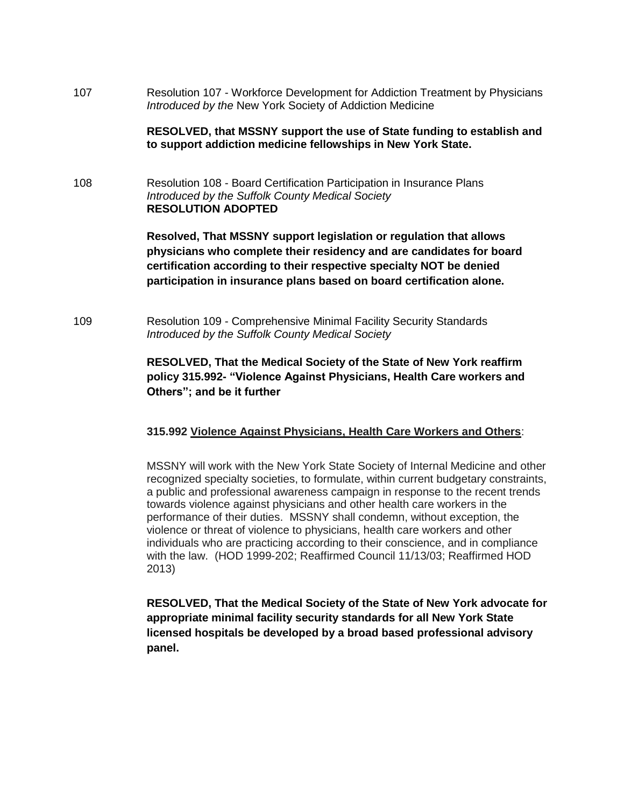107 Resolution 107 - Workforce Development for Addiction Treatment by Physicians *Introduced by the* New York Society of Addiction Medicine

#### **RESOLVED, that MSSNY support the use of State funding to establish and to support addiction medicine fellowships in New York State.**

108 Resolution 108 - Board Certification Participation in Insurance Plans *Introduced by the Suffolk County Medical Society* **RESOLUTION ADOPTED**

> **Resolved, That MSSNY support legislation or regulation that allows physicians who complete their residency and are candidates for board certification according to their respective specialty NOT be denied participation in insurance plans based on board certification alone.**

109 Resolution 109 - Comprehensive Minimal Facility Security Standards *Introduced by the Suffolk County Medical Society*

## **RESOLVED, That the Medical Society of the State of New York reaffirm policy 315.992- "Violence Against Physicians, Health Care workers and Others"; and be it further**

#### **315.992 Violence Against Physicians, Health Care Workers and Others**:

MSSNY will work with the New York State Society of Internal Medicine and other recognized specialty societies, to formulate, within current budgetary constraints, a public and professional awareness campaign in response to the recent trends towards violence against physicians and other health care workers in the performance of their duties. MSSNY shall condemn, without exception, the violence or threat of violence to physicians, health care workers and other individuals who are practicing according to their conscience, and in compliance with the law. (HOD 1999-202; Reaffirmed Council 11/13/03; Reaffirmed HOD 2013)

**RESOLVED, That the Medical Society of the State of New York advocate for appropriate minimal facility security standards for all New York State licensed hospitals be developed by a broad based professional advisory panel.**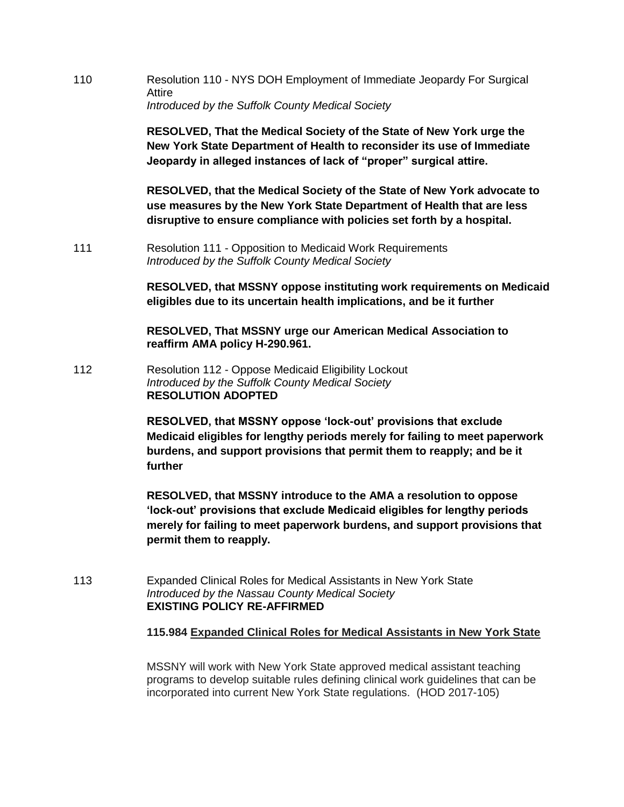110 Resolution 110 - NYS DOH Employment of Immediate Jeopardy For Surgical Attire *Introduced by the Suffolk County Medical Society*

> **RESOLVED, That the Medical Society of the State of New York urge the New York State Department of Health to reconsider its use of Immediate Jeopardy in alleged instances of lack of "proper" surgical attire.**

**RESOLVED, that the Medical Society of the State of New York advocate to use measures by the New York State Department of Health that are less disruptive to ensure compliance with policies set forth by a hospital.**

111 Resolution 111 - Opposition to Medicaid Work Requirements *Introduced by the Suffolk County Medical Society*

> **RESOLVED, that MSSNY oppose instituting work requirements on Medicaid eligibles due to its uncertain health implications, and be it further**

**RESOLVED, That MSSNY urge our American Medical Association to reaffirm AMA policy H-290.961.**

112 Resolution 112 - Oppose Medicaid Eligibility Lockout *Introduced by the Suffolk County Medical Society* **RESOLUTION ADOPTED**

> **RESOLVED, that MSSNY oppose 'lock-out' provisions that exclude Medicaid eligibles for lengthy periods merely for failing to meet paperwork burdens, and support provisions that permit them to reapply; and be it further**

> **RESOLVED, that MSSNY introduce to the AMA a resolution to oppose 'lock-out' provisions that exclude Medicaid eligibles for lengthy periods merely for failing to meet paperwork burdens, and support provisions that permit them to reapply.**

113 Expanded Clinical Roles for Medical Assistants in New York State *Introduced by the Nassau County Medical Society* **EXISTING POLICY RE-AFFIRMED**

**115.984 Expanded Clinical Roles for Medical Assistants in New York State**

MSSNY will work with New York State approved medical assistant teaching programs to develop suitable rules defining clinical work guidelines that can be incorporated into current New York State regulations. (HOD 2017-105)